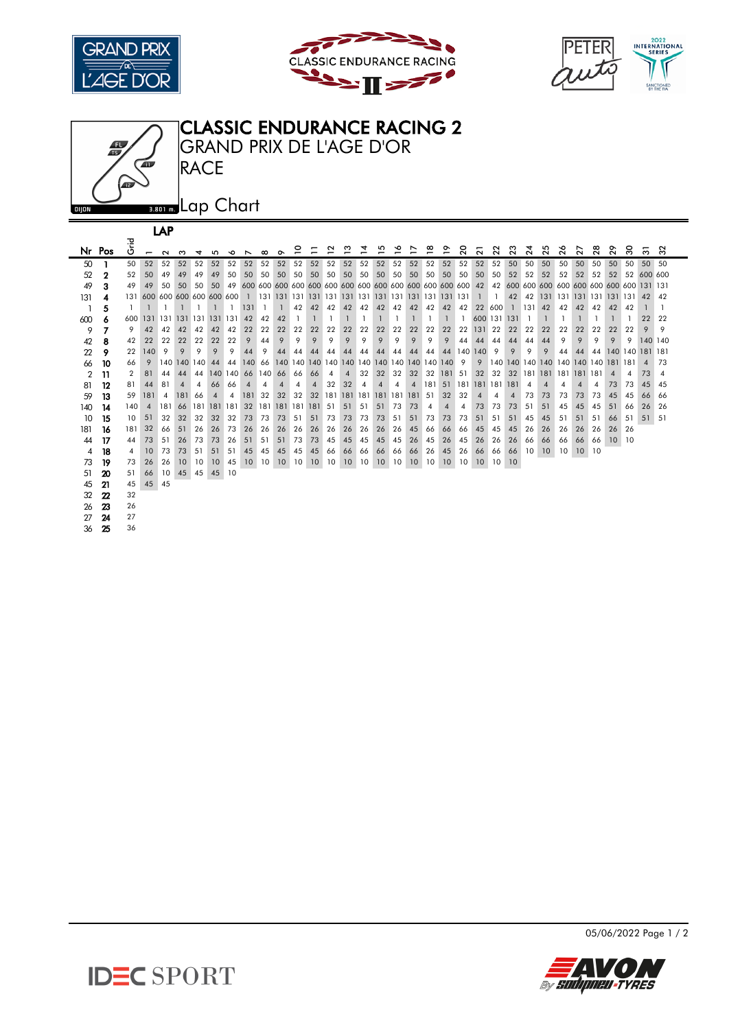







| LAP            |        |      |                         |        |                |             |         |                |                             |          |                            |    |                          |     |                |     |     |     |                |     |                |    |                 |        |                          |                   |           |     |                                            |    |                |                    |                |                |
|----------------|--------|------|-------------------------|--------|----------------|-------------|---------|----------------|-----------------------------|----------|----------------------------|----|--------------------------|-----|----------------|-----|-----|-----|----------------|-----|----------------|----|-----------------|--------|--------------------------|-------------------|-----------|-----|--------------------------------------------|----|----------------|--------------------|----------------|----------------|
|                |        | 곧    |                         |        |                |             |         |                |                             |          |                            |    |                          | ฺ≃  | ≌              | ュ   | ഗ   | ∾   | ∼              | ≌   | °              | ຸລ | 21              | 22     | ಔ                        | 4                 | ನಿ        | ςq  | 27                                         | ಇ  | 2              | ్లె                | ౚ              | ೫              |
|                | Nr Pos | O    | $\overline{ }$          | $\sim$ | ო              | ₹           | m       | ∾              | ↖                           | $\infty$ | $\sim$                     |    |                          |     |                |     |     |     |                |     |                |    |                 |        |                          | $\mathbf{\alpha}$ |           |     |                                            |    |                |                    |                |                |
| 50             |        | 50   | 52                      | 52     | 52             | 52          | 52      | 52             | 52                          | 52       | 52                         | 52 | 52                       | 52  | 52             | 52  | 52  | 52  | 52             | 52  | 52             | 52 | 52              | 52     | 50                       | 50                | 50        | 50  | 50                                         | 50 | 50             | 50                 | 50             | 50             |
| 52             | 2      | 52   | 50                      | 49     | 49             | 49          | 49      | 50             | 50                          | 50       | 50                         | 50 | 50                       | 50  | 50             | 50  | 50  | 50  | 50             | 50  | 50             | 50 | 50              | 50     | 52                       | 52                | 52        | 52  | 52                                         | 52 | 52             |                    | 52 600 600     |                |
| 49             | 3      | 49   | 49                      | 50     | 50             | 50          | 50      |                |                             |          |                            |    |                          |     |                |     |     |     |                |     |                |    |                 |        |                          |                   |           |     | 42 600 600 600 600 600 600 600 600 131 131 |    |                |                    |                |                |
| 131            | 4      |      |                         |        |                |             |         |                |                             |          |                            |    |                          |     |                |     |     |     |                |     |                |    | $\overline{1}$  | -1.    |                          |                   |           |     | 42 42 131 131 131 131 131 131 42           |    |                |                    |                | 42             |
|                | 5      |      |                         |        |                |             |         |                | 131                         |          |                            | 42 | 42                       | 42  | 42             | 42  | 42  | 42  | 42             | 42  | 42             | 42 |                 | 22 600 |                          | $1 \quad 131$     | 42        | 42  | 42                                         | 42 | 42             | 42                 |                |                |
| 600            | 6      | 600. | 131 131 131 131 131 131 |        |                |             |         |                | 42                          | 42       | 42                         |    |                          |     |                |     |     |     |                |     |                |    | 600 131 131     |        |                          |                   |           |     |                                            |    |                |                    | 22             | 22             |
| 9              |        | 9    | 42                      | 42     | 42             | 42          | 42      | 42             | 22                          | 22       | 22                         | 22 | 22                       | 22  | 22             | 22  | 22  | 22  | 22             | 22  | 22             | 22 | 131             | 22     | 22                       | 22                | 22        | 22  | 22                                         | 22 | 22             | 22                 | 9              | 9              |
| 42             | 8      | 42   | 22                      | 22     | 22             | 22          | 22      | 22             | 9                           | 44       | 9                          | 9  | 9                        | 9   | 9              | 9   | 9   | 9   | 9              | 9   | 9              | 44 | 44              | 44     | 44                       | 44                | 44        | 9   | 9                                          | 9  | 9              | 9                  | 140 140        |                |
| 22             | 9      | 22   | 140                     | 9      | 9              | 9           | 9       | 9              | 44                          | 9        | 44                         | 44 | 44                       | 44  | 44             | 44  | 44  | 44  | 44             | 44  | 44             |    | 140 140         | 9      | 9                        | 9                 | 9         | 44  | 44                                         |    |                | 44 140 140 181 181 |                |                |
| 66             | 10     | 66   | 9                       |        |                | 140 140 140 | 44      | 44             | 140                         | 66       |                            |    |                          |     |                |     |     |     |                |     |                | 9  | 9               |        |                          |                   |           |     | 140 140 140 140 140 140 140 181 181        |    |                |                    | $\overline{A}$ | 73             |
| $\overline{2}$ | 11     | 2    | 81                      | 44     | 44             | 44          | 140 140 |                | 66                          | 140 66   |                            | 66 | 66                       | 4   | $\overline{4}$ | 32  | 32  | 32  | 32             | 32  | 181            | 51 | 32              | 32     | 32                       |                   |           |     | 181 181 181 181 181                        |    | $\overline{4}$ | 4                  | 73             | $\overline{4}$ |
| 81             | 12     | 81   | 44                      | 81     | $\overline{4}$ | 4           | 66      | 66             | $\boldsymbol{\vartriangle}$ | 4        |                            | 4  | $\boldsymbol{\varDelta}$ | 32  | 32             | 4   | 4   | 4   | $\overline{4}$ | 181 | 51             |    | 181 181 181 181 |        |                          | 4                 |           |     |                                            | 4  | 73             | 73                 | 45             | 45             |
| 59             | 13     | 59   | 181                     | 4      | 181            | 66          |         | 4              | 181                         | 32       | 32                         | 32 | 32                       | 181 | 181            | 181 | 181 | 181 | 181            | 51  | 32             | 32 |                 | 4      | $\boldsymbol{\varDelta}$ | 73                | 73        | 73  | 73                                         | 73 | 45             | 45                 | 66             | 66             |
| 140            | 14     | 140  |                         | 181    | 66             | 181         | 181     | <sup>181</sup> | 32                          | 181      | 181 181                    |    | 181                      | 51  | 51             | 51  | 51  | 73  | 73             | 4   | $\overline{4}$ | 4  | 73              | 73     | 73                       | 51                | 51        | 45  | 45                                         | 45 | 51             | 66                 | 26             | 26             |
| 10             | 15     | 10   | 51                      | 32     | 32             | 32          | 32      | 32             | 73                          | 73       | 73                         | 51 | 51                       | 73  | 73             | 73  | 73  | 51  | 51             | 73  | 73             | 73 | 51              | 51     | 51                       | 45                | 45        | 51  | 51                                         | 51 | 66             | -51                | 51             | -51            |
| 181            | 16     | 181  | 32                      | 66     | $-51$          | 26          | 26      | 73             | 26                          | 26       | 26                         | 26 | 26                       | 26  | 26             | 26  | 26  | 26  | 45             | 66  | 66             | 66 | 45              | 45     | 45                       | 26                | 26        | 26  | 26                                         | 26 | 26             | 26                 |                |                |
| 44             | 17     | 44   | 73                      | 51     | 26             | 73          | 73      | 26             | 51                          | 51       | 51                         | 73 | 73                       | 45  | 45             | 45  | 45  | 45  | 26             | 45  | 26             | 45 | 26              | 26     | 26                       | 66                | 66        | -66 | 66                                         | 66 | $10-10$        | 10                 |                |                |
| 4              | 18     | 4    | 10                      | 73     | 73             | 51          | 51      | 51             | 45                          | 45       | 45                         | 45 | 45                       | 66  | 66             | 66  | 66  | 66  | 66             | 26  | 45             | 26 | 66              | 66     | 66                       | $10-1$            | <b>10</b> | 10  | 10 <sup>°</sup>                            | 10 |                |                    |                |                |
| 73             | 19     | 73   | 26                      | 26     | 10             | 10          | 10      | 45             |                             |          | 10 10 10 10 10 10 10 10 10 |    |                          |     |                |     |     | 10  | 10             | 10  | 10             | 10 | 10 <sup>°</sup> | 10 10  |                          |                   |           |     |                                            |    |                |                    |                |                |
| 51             | 20     | -51  | 66                      | $10-1$ |                | 45 45       | 45 10   |                |                             |          |                            |    |                          |     |                |     |     |     |                |     |                |    |                 |        |                          |                   |           |     |                                            |    |                |                    |                |                |
| 45             | 21     | 45   | 45                      | 45     |                |             |         |                |                             |          |                            |    |                          |     |                |     |     |     |                |     |                |    |                 |        |                          |                   |           |     |                                            |    |                |                    |                |                |
| 32             | 22     | 32   |                         |        |                |             |         |                |                             |          |                            |    |                          |     |                |     |     |     |                |     |                |    |                 |        |                          |                   |           |     |                                            |    |                |                    |                |                |
| 26             | 23     | 26   |                         |        |                |             |         |                |                             |          |                            |    |                          |     |                |     |     |     |                |     |                |    |                 |        |                          |                   |           |     |                                            |    |                |                    |                |                |
| 27             | 24     | 27   |                         |        |                |             |         |                |                             |          |                            |    |                          |     |                |     |     |     |                |     |                |    |                 |        |                          |                   |           |     |                                            |    |                |                    |                |                |

25 36